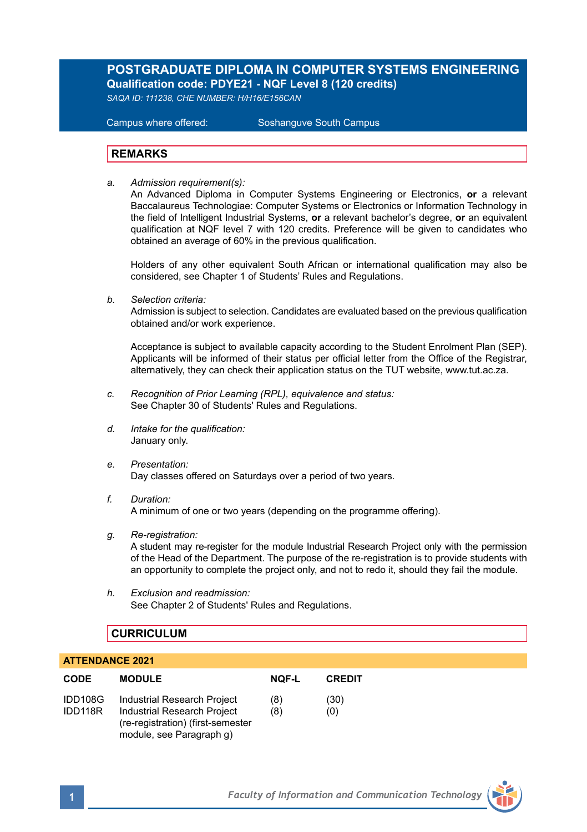# **POSTGRADUATE DIPLOMA IN COMPUTER SYSTEMS ENGINEERING Qualification code: PDYE21 - NQF Level 8 (120 credits)**

*SAQA ID: 111238, CHE NUMBER: H/H16/E156CAN* 

**Campus where offered:** 

Soshanguve South Campus

### **REMARKS**

*a. Admission requirement(s):* 

An Advanced Diploma in Computer Systems Engineering or Electronics, **or** a relevant Baccalaureus Technologiae: Computer Systems or Electronics or Information Technology in the field of Intelligent Industrial Systems, **or** a relevant bachelor's degree, **or** an equivalent qualification at NQF level 7 with 120 credits. Preference will be given to candidates who obtained an average of 60% in the previous qualification.

Holders of any other equivalent South African or international qualification may also be considered, see Chapter 1 of Students' Rules and Regulations.

*b. Selection criteria:*

Admission is subject to selection. Candidates are evaluated based on the previous qualification obtained and/or work experience.

Acceptance is subject to available capacity according to the Student Enrolment Plan (SEP). Applicants will be informed of their status per official letter from the Office of the Registrar, alternatively, they can check their application status on the TUT website, www.tut.ac.za.

- *c. Recognition of Prior Learning (RPL), equivalence and status:* See Chapter 30 of Students' Rules and Regulations.
- *d. Intake for the qualification:* January only.
- *e. Presentation:* Day classes offered on Saturdays over a period of two years.
- *f. Duration:* A minimum of one or two years (depending on the programme offering).
- *g. Re-registration:*

A student may re-register for the module Industrial Research Project only with the permission of the Head of the Department. The purpose of the re-registration is to provide students with an opportunity to complete the project only, and not to redo it, should they fail the module.

*h. Exclusion and readmission:* See Chapter 2 of Students' Rules and Regulations.

## **CURRICULUM**

#### **ATTENDANCE 2021**

| <b>CODE</b>        | <b>MODULE</b>                                                                                                               | <b>NOF-L</b> | <b>CREDIT</b> |
|--------------------|-----------------------------------------------------------------------------------------------------------------------------|--------------|---------------|
| IDD108G<br>IDD118R | Industrial Research Project<br>Industrial Research Project<br>(re-registration) (first-semester<br>module, see Paragraph g) | (8)<br>(8)   | (30)<br>(0)   |

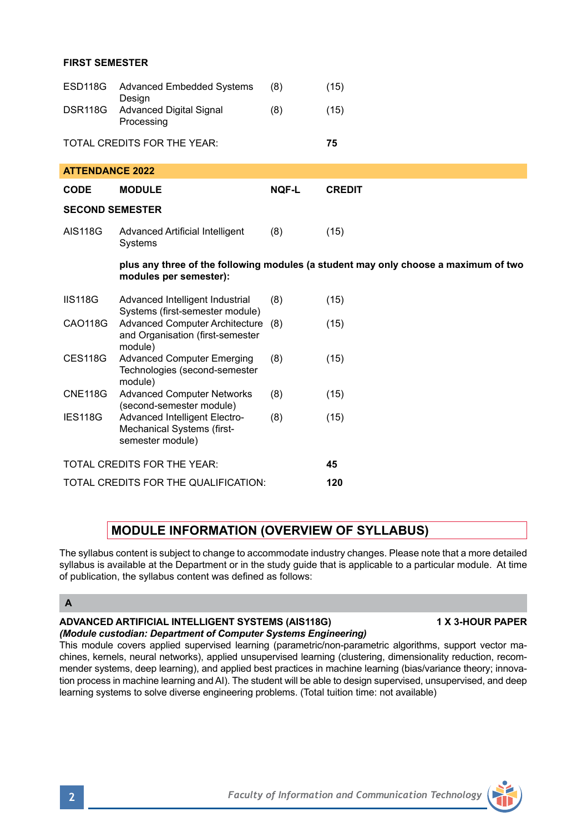### **FIRST SEMESTER**

| ESD118G                                                                                                       | <b>Advanced Embedded Systems</b><br>Design                                        | (8)          | (15)          |  |
|---------------------------------------------------------------------------------------------------------------|-----------------------------------------------------------------------------------|--------------|---------------|--|
| <b>DSR118G</b>                                                                                                | <b>Advanced Digital Signal</b><br>Processing                                      | (8)          | (15)          |  |
|                                                                                                               | TOTAL CREDITS FOR THE YEAR:                                                       |              | 75            |  |
| <b>ATTENDANCE 2022</b>                                                                                        |                                                                                   |              |               |  |
| <b>CODE</b>                                                                                                   | <b>MODULE</b>                                                                     | <b>NOF-L</b> | <b>CREDIT</b> |  |
| <b>SECOND SEMESTER</b>                                                                                        |                                                                                   |              |               |  |
| <b>AIS118G</b>                                                                                                | Advanced Artificial Intelligent<br>Systems                                        | (8)          | (15)          |  |
| plus any three of the following modules (a student may only choose a maximum of two<br>modules per semester): |                                                                                   |              |               |  |
| <b>IIS118G</b>                                                                                                | Advanced Intelligent Industrial<br>Systems (first-semester module)                | (8)          | (15)          |  |
| CAO118G                                                                                                       | Advanced Computer Architecture (8)<br>and Organisation (first-semester<br>module) |              | (15)          |  |
| <b>CES118G</b>                                                                                                | <b>Advanced Computer Emerging</b><br>Technologies (second-semester<br>module)     | (8)          | (15)          |  |
| <b>CNE118G</b>                                                                                                | <b>Advanced Computer Networks</b><br>(second-semester module)                     | (8)          | (15)          |  |
| IES118G                                                                                                       | Advanced Intelligent Electro-<br>Mechanical Systems (first-<br>semester module)   | (8)          | (15)          |  |
| TOTAL CREDITS FOR THE YEAR:                                                                                   |                                                                                   |              | 45            |  |
| TOTAL CREDITS FOR THE QUALIFICATION:                                                                          |                                                                                   |              | 120           |  |

## **MODULE INFORMATION (OVERVIEW OF SYLLABUS)**

The syllabus content is subject to change to accommodate industry changes. Please note that a more detailed syllabus is available at the Department or in the study quide that is applicable to a particular module. At time of publication, the syllabus content was defined as follows:

#### **A**

**ADVANCED ARTIFICIAL INTELLIGENT SYSTEMS (AIS118G) 1 X 3-HOUR PAPER** *(Module custodian: Department of Computer Systems Engineering)*

This module covers applied supervised learning (parametric/non-parametric algorithms, support vector machines, kernels, neural networks), applied unsupervised learning (clustering, dimensionality reduction, recommender systems, deep learning), and applied best practices in machine learning (bias/variance theory; innovation process in machine learning and AI). The student will be able to design supervised, unsupervised, and deep learning systems to solve diverse engineering problems. (Total tuition time: not available)